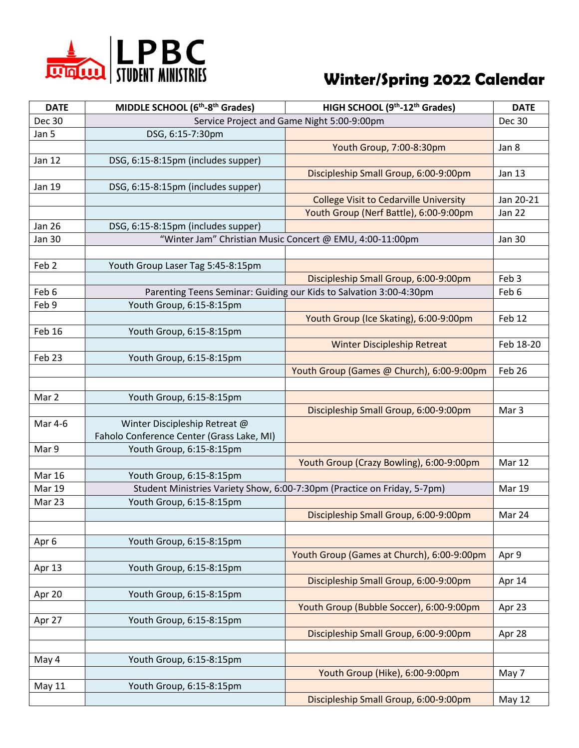

## **Winter/Spring 2022 Calendar**

| <b>DATE</b>      | MIDDLE SCHOOL (6 <sup>th</sup> -8 <sup>th</sup> Grades) | HIGH SCHOOL (9 <sup>th</sup> -12 <sup>th</sup> Grades)                   | <b>DATE</b>      |
|------------------|---------------------------------------------------------|--------------------------------------------------------------------------|------------------|
| <b>Dec 30</b>    |                                                         | Service Project and Game Night 5:00-9:00pm                               | <b>Dec 30</b>    |
| Jan 5            | DSG, 6:15-7:30pm                                        |                                                                          |                  |
|                  |                                                         | Youth Group, 7:00-8:30pm                                                 | Jan 8            |
| <b>Jan 12</b>    | DSG, 6:15-8:15pm (includes supper)                      |                                                                          |                  |
|                  |                                                         | Discipleship Small Group, 6:00-9:00pm                                    | Jan 13           |
| <b>Jan 19</b>    | DSG, 6:15-8:15pm (includes supper)                      |                                                                          |                  |
|                  |                                                         | <b>College Visit to Cedarville University</b>                            | Jan 20-21        |
|                  |                                                         | Youth Group (Nerf Battle), 6:00-9:00pm                                   | <b>Jan 22</b>    |
| <b>Jan 26</b>    | DSG, 6:15-8:15pm (includes supper)                      |                                                                          |                  |
| <b>Jan 30</b>    |                                                         | "Winter Jam" Christian Music Concert @ EMU, 4:00-11:00pm                 | <b>Jan 30</b>    |
|                  |                                                         |                                                                          |                  |
| Feb <sub>2</sub> | Youth Group Laser Tag 5:45-8:15pm                       |                                                                          |                  |
|                  |                                                         | Discipleship Small Group, 6:00-9:00pm                                    | Feb 3            |
| Feb 6            |                                                         | Parenting Teens Seminar: Guiding our Kids to Salvation 3:00-4:30pm       | Feb 6            |
| Feb 9            | Youth Group, 6:15-8:15pm                                |                                                                          |                  |
|                  |                                                         | Youth Group (Ice Skating), 6:00-9:00pm                                   | Feb 12           |
| Feb 16           | Youth Group, 6:15-8:15pm                                |                                                                          |                  |
|                  |                                                         | <b>Winter Discipleship Retreat</b>                                       | Feb 18-20        |
| Feb 23           | Youth Group, 6:15-8:15pm                                |                                                                          |                  |
|                  |                                                         | Youth Group (Games @ Church), 6:00-9:00pm                                | Feb 26           |
|                  |                                                         |                                                                          |                  |
| Mar 2            | Youth Group, 6:15-8:15pm                                |                                                                          |                  |
|                  |                                                         | Discipleship Small Group, 6:00-9:00pm                                    | Mar <sub>3</sub> |
| Mar 4-6          | Winter Discipleship Retreat @                           |                                                                          |                  |
|                  | Faholo Conference Center (Grass Lake, MI)               |                                                                          |                  |
| Mar 9            | Youth Group, 6:15-8:15pm                                |                                                                          |                  |
|                  |                                                         | Youth Group (Crazy Bowling), 6:00-9:00pm                                 | Mar 12           |
| <b>Mar 16</b>    | Youth Group, 6:15-8:15pm                                |                                                                          |                  |
| Mar 19           |                                                         | Student Ministries Variety Show, 6:00-7:30pm (Practice on Friday, 5-7pm) | Mar 19           |
| Mar 23           | Youth Group, 6:15-8:15pm                                |                                                                          |                  |
|                  |                                                         | Discipleship Small Group, 6:00-9:00pm                                    | Mar 24           |
|                  |                                                         |                                                                          |                  |
| Apr 6            | Youth Group, 6:15-8:15pm                                |                                                                          |                  |
|                  |                                                         | Youth Group (Games at Church), 6:00-9:00pm                               | Apr 9            |
| Apr 13           | Youth Group, 6:15-8:15pm                                |                                                                          |                  |
|                  |                                                         | Discipleship Small Group, 6:00-9:00pm                                    | Apr 14           |
| Apr 20           | Youth Group, 6:15-8:15pm                                |                                                                          |                  |
|                  |                                                         | Youth Group (Bubble Soccer), 6:00-9:00pm                                 | Apr 23           |
| Apr 27           | Youth Group, 6:15-8:15pm                                |                                                                          |                  |
|                  |                                                         | Discipleship Small Group, 6:00-9:00pm                                    | Apr 28           |
|                  |                                                         |                                                                          |                  |
| May 4            | Youth Group, 6:15-8:15pm                                |                                                                          |                  |
|                  |                                                         | Youth Group (Hike), 6:00-9:00pm                                          | May 7            |
| <b>May 11</b>    | Youth Group, 6:15-8:15pm                                |                                                                          |                  |
|                  |                                                         | Discipleship Small Group, 6:00-9:00pm                                    | <b>May 12</b>    |